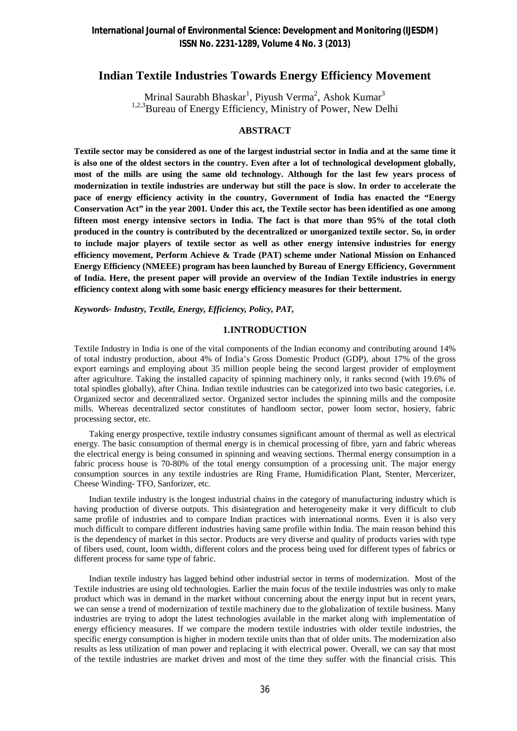# **Indian Textile Industries Towards Energy Efficiency Movement**

Mrinal Saurabh Bhaskar $^1$ , Piyush Verma $^2$ , Ashok Kumar $^3$ <sup>1,2,3</sup>Bureau of Energy Efficiency, Ministry of Power, New Delhi

### **ABSTRACT**

**Textile sector may be considered as one of the largest industrial sector in India and at the same time it is also one of the oldest sectors in the country. Even after a lot of technological development globally, most of the mills are using the same old technology. Although for the last few years process of modernization in textile industries are underway but still the pace is slow. In order to accelerate the pace of energy efficiency activity in the country, Government of India has enacted the "Energy Conservation Act" in the year 2001. Under this act, the Textile sector has been identified as one among fifteen most energy intensive sectors in India. The fact is that more than 95% of the total cloth produced in the country is contributed by the decentralized or unorganized textile sector. So, in order to include major players of textile sector as well as other energy intensive industries for energy efficiency movement, Perform Achieve & Trade (PAT) scheme under National Mission on Enhanced Energy Efficiency (NMEEE) program has been launched by Bureau of Energy Efficiency, Government of India. Here, the present paper will provide an overview of the Indian Textile industries in energy efficiency context along with some basic energy efficiency measures for their betterment.**

*Keywords- Industry, Textile, Energy, Efficiency, Policy, PAT,* 

#### **1.INTRODUCTION**

Textile Industry in India is one of the vital components of the Indian economy and contributing around 14% of total industry production, about 4% of India's Gross Domestic Product (GDP), about 17% of the gross export earnings and employing about 35 million people being the second largest provider of employment after agriculture. Taking the installed capacity of spinning machinery only, it ranks second (with 19.6% of total spindles globally), after China. Indian textile industries can be categorized into two basic categories, i.e. Organized sector and decentralized sector. Organized sector includes the spinning mills and the composite mills. Whereas decentralized sector constitutes of handloom sector, power loom sector, hosiery, fabric processing sector, etc.

 Taking energy prospective, textile industry consumes significant amount of thermal as well as electrical energy. The basic consumption of thermal energy is in chemical processing of fibre, yarn and fabric whereas the electrical energy is being consumed in spinning and weaving sections. Thermal energy consumption in a fabric process house is 70-80% of the total energy consumption of a processing unit. The major energy consumption sources in any textile industries are Ring Frame, Humidification Plant, Stenter, Mercerizer, Cheese Winding- TFO, Sanforizer, etc.

 Indian textile industry is the longest industrial chains in the category of manufacturing industry which is having production of diverse outputs. This disintegration and heterogeneity make it very difficult to club same profile of industries and to compare Indian practices with international norms. Even it is also very much difficult to compare different industries having same profile within India. The main reason behind this is the dependency of market in this sector. Products are very diverse and quality of products varies with type of fibers used, count, loom width, different colors and the process being used for different types of fabrics or different process for same type of fabric.

 Indian textile industry has lagged behind other industrial sector in terms of modernization. Most of the Textile industries are using old technologies. Earlier the main focus of the textile industries was only to make product which was in demand in the market without concerning about the energy input but in recent years, we can sense a trend of modernization of textile machinery due to the globalization of textile business. Many industries are trying to adopt the latest technologies available in the market along with implementation of energy efficiency measures. If we compare the modern textile industries with older textile industries, the specific energy consumption is higher in modern textile units than that of older units. The modernization also results as less utilization of man power and replacing it with electrical power. Overall, we can say that most of the textile industries are market driven and most of the time they suffer with the financial crisis. This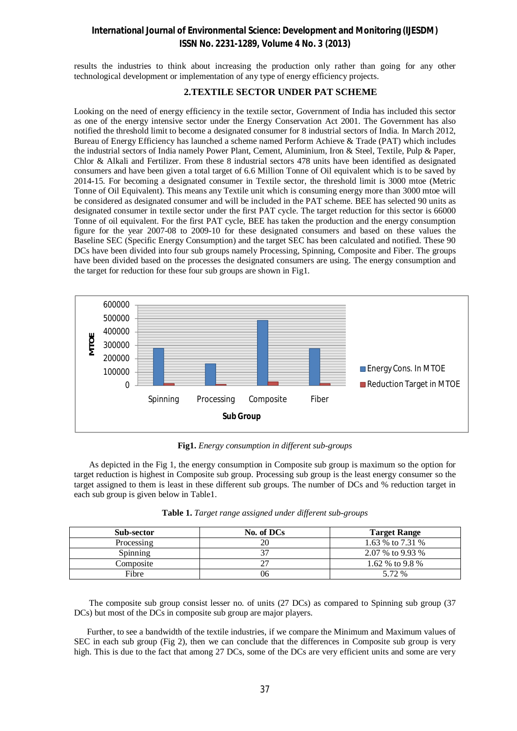### **International Journal of Environmental Science: Development and Monitoring (IJESDM) ISSN No. 2231-1289, Volume 4 No. 3 (2013)**

results the industries to think about increasing the production only rather than going for any other technological development or implementation of any type of energy efficiency projects.

### **2.TEXTILE SECTOR UNDER PAT SCHEME**

Looking on the need of energy efficiency in the textile sector, Government of India has included this sector as one of the energy intensive sector under the Energy Conservation Act 2001. The Government has also notified the threshold limit to become a designated consumer for 8 industrial sectors of India. In March 2012, Bureau of Energy Efficiency has launched a scheme named Perform Achieve & Trade (PAT) which includes the industrial sectors of India namely Power Plant, Cement, Aluminium, Iron & Steel, Textile, Pulp & Paper, Chlor & Alkali and Fertilizer. From these 8 industrial sectors 478 units have been identified as designated consumers and have been given a total target of 6.6 Million Tonne of Oil equivalent which is to be saved by 2014-15. For becoming a designated consumer in Textile sector, the threshold limit is 3000 mtoe (Metric Tonne of Oil Equivalent). This means any Textile unit which is consuming energy more than 3000 mtoe will be considered as designated consumer and will be included in the PAT scheme. BEE has selected 90 units as designated consumer in textile sector under the first PAT cycle. The target reduction for this sector is 66000 Tonne of oil equivalent. For the first PAT cycle, BEE has taken the production and the energy consumption figure for the year 2007-08 to 2009-10 for these designated consumers and based on these values the Baseline SEC (Specific Energy Consumption) and the target SEC has been calculated and notified. These 90 DCs have been divided into four sub groups namely Processing, Spinning, Composite and Fiber. The groups have been divided based on the processes the designated consumers are using. The energy consumption and the target for reduction for these four sub groups are shown in Fig1.



**Fig1.** *Energy consumption in different sub-groups*

 As depicted in the Fig 1, the energy consumption in Composite sub group is maximum so the option for target reduction is highest in Composite sub group. Processing sub group is the least energy consumer so the target assigned to them is least in these different sub groups. The number of DCs and % reduction target in each sub group is given below in Table1.

| <b>Sub-sector</b> | No. of DCs | <b>Target Range</b> |
|-------------------|------------|---------------------|
| Processing        | 20         | 1.63 % to 7.31 %    |
| Spinning          |            | 2.07 % to 9.93 %    |
| Composite         |            | 1.62 % to 9.8 %     |
| Fibre             | 96         | 5.72 %              |

| Table 1. Target range assigned under different sub-groups |  |  |
|-----------------------------------------------------------|--|--|
|-----------------------------------------------------------|--|--|

 The composite sub group consist lesser no. of units (27 DCs) as compared to Spinning sub group (37 DCs) but most of the DCs in composite sub group are major players.

 Further, to see a bandwidth of the textile industries, if we compare the Minimum and Maximum values of SEC in each sub group (Fig 2), then we can conclude that the differences in Composite sub group is very high. This is due to the fact that among 27 DCs, some of the DCs are very efficient units and some are very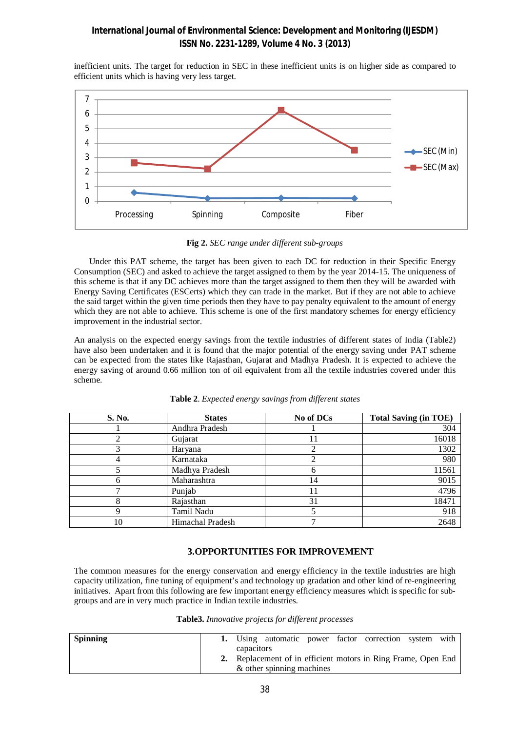### **International Journal of Environmental Science: Development and Monitoring (IJESDM) ISSN No. 2231-1289, Volume 4 No. 3 (2013)**

inefficient units. The target for reduction in SEC in these inefficient units is on higher side as compared to efficient units which is having very less target.



**Fig 2.** *SEC range under different sub-groups*

 Under this PAT scheme, the target has been given to each DC for reduction in their Specific Energy Consumption (SEC) and asked to achieve the target assigned to them by the year 2014-15. The uniqueness of this scheme is that if any DC achieves more than the target assigned to them then they will be awarded with Energy Saving Certificates (ESCerts) which they can trade in the market. But if they are not able to achieve the said target within the given time periods then they have to pay penalty equivalent to the amount of energy which they are not able to achieve. This scheme is one of the first mandatory schemes for energy efficiency improvement in the industrial sector.

An analysis on the expected energy savings from the textile industries of different states of India (Table2) have also been undertaken and it is found that the major potential of the energy saving under PAT scheme can be expected from the states like Rajasthan, Gujarat and Madhya Pradesh. It is expected to achieve the energy saving of around 0.66 million ton of oil equivalent from all the textile industries covered under this scheme.

| S. No. | <b>States</b>    | No of DCs | <b>Total Saving (in TOE)</b> |
|--------|------------------|-----------|------------------------------|
|        | Andhra Pradesh   |           | 304                          |
|        | Gujarat          |           | 16018                        |
|        | Haryana          |           | 1302                         |
|        | Karnataka        |           | 980                          |
|        | Madhya Pradesh   | 6         | 11561                        |
|        | Maharashtra      | 14        | 9015                         |
|        | Punjab           |           | 4796                         |
|        | Rajasthan        | 31        | 18471                        |
|        | Tamil Nadu       |           | 918                          |
| 10     | Himachal Pradesh |           | 2648                         |

**Table 2**. *Expected energy savings from different states*

### **3.OPPORTUNITIES FOR IMPROVEMENT**

The common measures for the energy conservation and energy efficiency in the textile industries are high capacity utilization, fine tuning of equipment's and technology up gradation and other kind of re-engineering initiatives. Apart from this following are few important energy efficiency measures which is specific for subgroups and are in very much practice in Indian textile industries.

| <b>Spinning</b> |            |                           |  | 1. Using automatic power factor correction system with        |  |
|-----------------|------------|---------------------------|--|---------------------------------------------------------------|--|
|                 | capacitors | & other spinning machines |  | 2. Replacement of in efficient motors in Ring Frame, Open End |  |